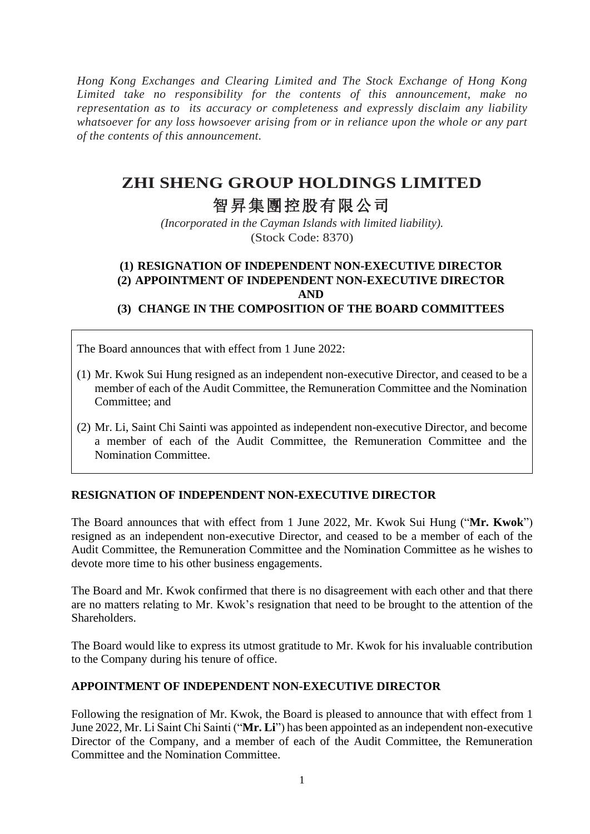*Hong Kong Exchanges and Clearing Limited and The Stock Exchange of Hong Kong Limited take no responsibility for the contents of this announcement, make no representation as to its accuracy or completeness and expressly disclaim any liability whatsoever for any loss howsoever arising from or in reliance upon the whole or any part of the contents of this announcement.*

# **ZHI SHENG GROUP HOLDINGS LIMITED**

# 智昇集團控股有限公司

*(Incorporated in the Cayman Islands with limited liability).* (Stock Code: 8370)

## **(1) RESIGNATION OF INDEPENDENT NON-EXECUTIVE DIRECTOR (2) APPOINTMENT OF INDEPENDENT NON-EXECUTIVE DIRECTOR AND**

**(3) CHANGE IN THE COMPOSITION OF THE BOARD COMMITTEES**

The Board announces that with effect from 1 June 2022:

- (1) Mr. Kwok Sui Hung resigned as an independent non-executive Director, and ceased to be a member of each of the Audit Committee, the Remuneration Committee and the Nomination Committee; and
- (2) Mr. Li, Saint Chi Sainti was appointed as independent non-executive Director, and become a member of each of the Audit Committee, the Remuneration Committee and the Nomination Committee.

### **RESIGNATION OF INDEPENDENT NON-EXECUTIVE DIRECTOR**

The Board announces that with effect from 1 June 2022, Mr. Kwok Sui Hung ("**Mr. Kwok**") resigned as an independent non-executive Director, and ceased to be a member of each of the Audit Committee, the Remuneration Committee and the Nomination Committee as he wishes to devote more time to his other business engagements.

The Board and Mr. Kwok confirmed that there is no disagreement with each other and that there are no matters relating to Mr. Kwok's resignation that need to be brought to the attention of the Shareholders.

The Board would like to express its utmost gratitude to Mr. Kwok for his invaluable contribution to the Company during his tenure of office.

### **APPOINTMENT OF INDEPENDENT NON-EXECUTIVE DIRECTOR**

Following the resignation of Mr. Kwok, the Board is pleased to announce that with effect from 1 June 2022, Mr. Li Saint Chi Sainti ("**Mr. Li**") has been appointed as an independent non-executive Director of the Company, and a member of each of the Audit Committee, the Remuneration Committee and the Nomination Committee.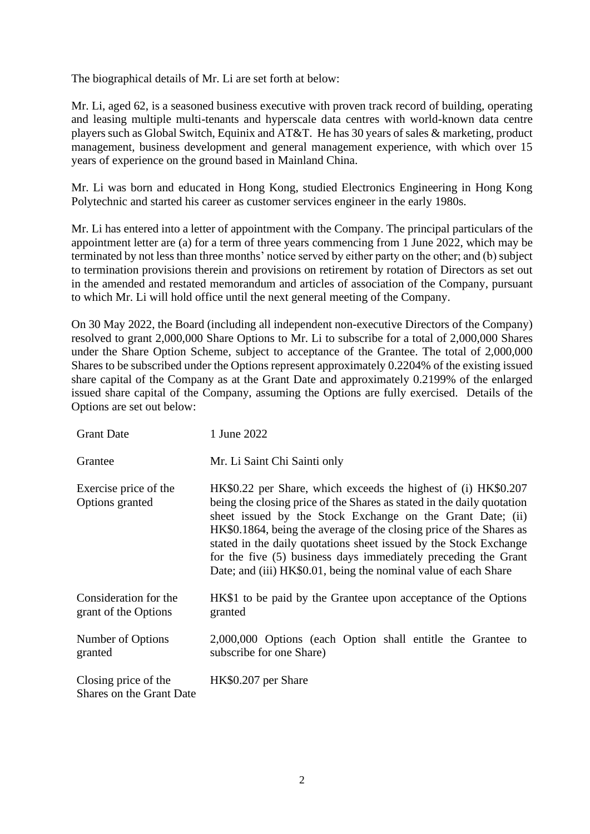The biographical details of Mr. Li are set forth at below:

Mr. Li, aged 62, is a seasoned business executive with proven track record of building, operating and leasing multiple multi-tenants and hyperscale data centres with world-known data centre players such as Global Switch, Equinix and AT&T. He has 30 years of sales & marketing, product management, business development and general management experience, with which over 15 years of experience on the ground based in Mainland China.

Mr. Li was born and educated in Hong Kong, studied Electronics Engineering in Hong Kong Polytechnic and started his career as customer services engineer in the early 1980s.

Mr. Li has entered into a letter of appointment with the Company. The principal particulars of the appointment letter are (a) for a term of three years commencing from 1 June 2022, which may be terminated by not less than three months' notice served by either party on the other; and (b) subject to termination provisions therein and provisions on retirement by rotation of Directors as set out in the amended and restated memorandum and articles of association of the Company, pursuant to which Mr. Li will hold office until the next general meeting of the Company.

On 30 May 2022, the Board (including all independent non-executive Directors of the Company) resolved to grant 2,000,000 Share Options to Mr. Li to subscribe for a total of 2,000,000 Shares under the Share Option Scheme, subject to acceptance of the Grantee. The total of 2,000,000 Shares to be subscribed under the Options represent approximately 0.2204% of the existing issued share capital of the Company as at the Grant Date and approximately 0.2199% of the enlarged issued share capital of the Company, assuming the Options are fully exercised. Details of the Options are set out below:

| <b>Grant Date</b>                                | 1 June 2022                                                                                                                                                                                                                                                                                                                                                                                                                                                                             |
|--------------------------------------------------|-----------------------------------------------------------------------------------------------------------------------------------------------------------------------------------------------------------------------------------------------------------------------------------------------------------------------------------------------------------------------------------------------------------------------------------------------------------------------------------------|
| Grantee                                          | Mr. Li Saint Chi Sainti only                                                                                                                                                                                                                                                                                                                                                                                                                                                            |
| Exercise price of the<br>Options granted         | HK\$0.22 per Share, which exceeds the highest of (i) HK\$0.207<br>being the closing price of the Shares as stated in the daily quotation<br>sheet issued by the Stock Exchange on the Grant Date; (ii)<br>HK\$0.1864, being the average of the closing price of the Shares as<br>stated in the daily quotations sheet issued by the Stock Exchange<br>for the five (5) business days immediately preceding the Grant<br>Date; and (iii) HK\$0.01, being the nominal value of each Share |
| Consideration for the<br>grant of the Options    | HK\$1 to be paid by the Grantee upon acceptance of the Options<br>granted                                                                                                                                                                                                                                                                                                                                                                                                               |
| Number of Options<br>granted                     | 2,000,000 Options (each Option shall entitle the Grantee to<br>subscribe for one Share)                                                                                                                                                                                                                                                                                                                                                                                                 |
| Closing price of the<br>Shares on the Grant Date | HK\$0.207 per Share                                                                                                                                                                                                                                                                                                                                                                                                                                                                     |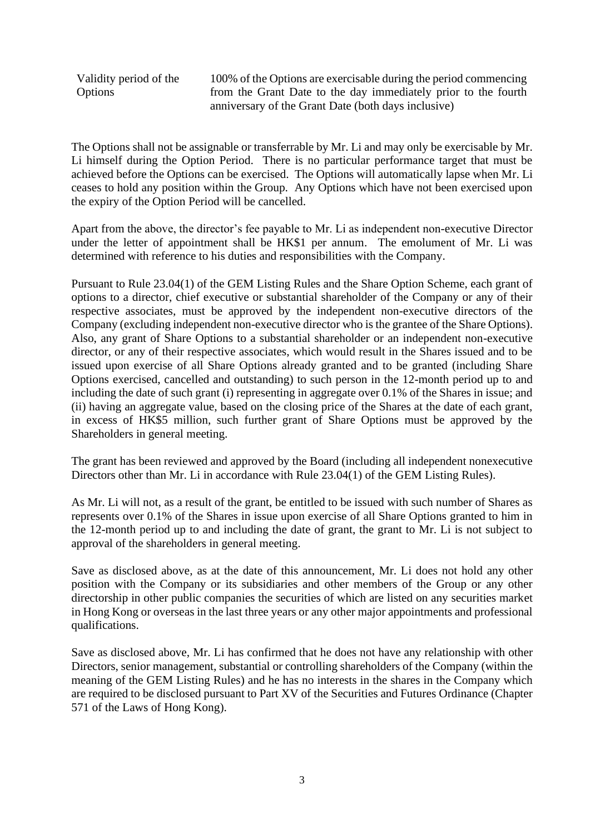Validity period of the Options

100% of the Options are exercisable during the period commencing from the Grant Date to the day immediately prior to the fourth anniversary of the Grant Date (both days inclusive)

The Options shall not be assignable or transferrable by Mr. Li and may only be exercisable by Mr. Li himself during the Option Period. There is no particular performance target that must be achieved before the Options can be exercised. The Options will automatically lapse when Mr. Li ceases to hold any position within the Group. Any Options which have not been exercised upon the expiry of the Option Period will be cancelled.

Apart from the above, the director's fee payable to Mr. Li as independent non-executive Director under the letter of appointment shall be HK\$1 per annum. The emolument of Mr. Li was determined with reference to his duties and responsibilities with the Company.

Pursuant to Rule 23.04(1) of the GEM Listing Rules and the Share Option Scheme, each grant of options to a director, chief executive or substantial shareholder of the Company or any of their respective associates, must be approved by the independent non-executive directors of the Company (excluding independent non-executive director who is the grantee of the Share Options). Also, any grant of Share Options to a substantial shareholder or an independent non-executive director, or any of their respective associates, which would result in the Shares issued and to be issued upon exercise of all Share Options already granted and to be granted (including Share Options exercised, cancelled and outstanding) to such person in the 12-month period up to and including the date of such grant (i) representing in aggregate over 0.1% of the Shares in issue; and (ii) having an aggregate value, based on the closing price of the Shares at the date of each grant, in excess of HK\$5 million, such further grant of Share Options must be approved by the Shareholders in general meeting.

The grant has been reviewed and approved by the Board (including all independent nonexecutive Directors other than Mr. Li in accordance with Rule 23.04(1) of the GEM Listing Rules).

As Mr. Li will not, as a result of the grant, be entitled to be issued with such number of Shares as represents over 0.1% of the Shares in issue upon exercise of all Share Options granted to him in the 12-month period up to and including the date of grant, the grant to Mr. Li is not subject to approval of the shareholders in general meeting.

Save as disclosed above, as at the date of this announcement, Mr. Li does not hold any other position with the Company or its subsidiaries and other members of the Group or any other directorship in other public companies the securities of which are listed on any securities market in Hong Kong or overseas in the last three years or any other major appointments and professional qualifications.

Save as disclosed above, Mr. Li has confirmed that he does not have any relationship with other Directors, senior management, substantial or controlling shareholders of the Company (within the meaning of the GEM Listing Rules) and he has no interests in the shares in the Company which are required to be disclosed pursuant to Part XV of the Securities and Futures Ordinance (Chapter 571 of the Laws of Hong Kong).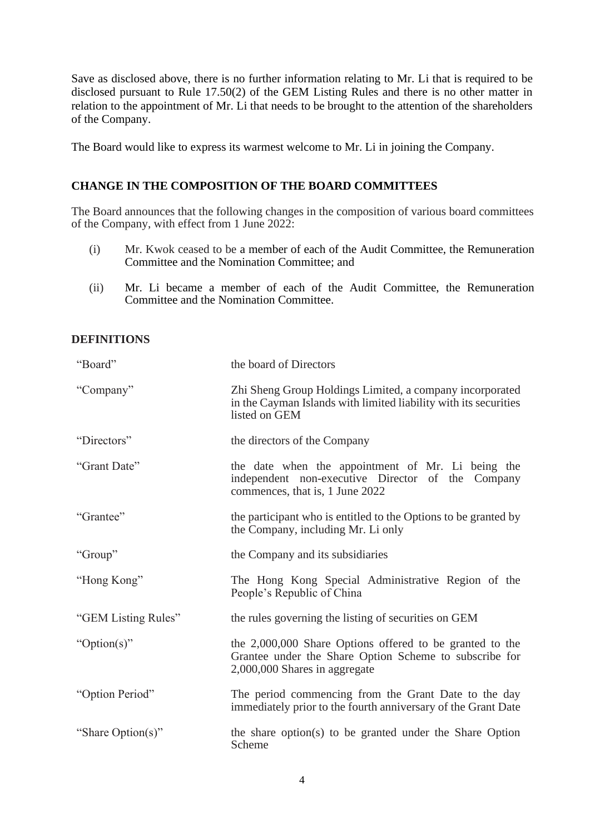Save as disclosed above, there is no further information relating to Mr. Li that is required to be disclosed pursuant to Rule 17.50(2) of the GEM Listing Rules and there is no other matter in relation to the appointment of Mr. Li that needs to be brought to the attention of the shareholders of the Company.

The Board would like to express its warmest welcome to Mr. Li in joining the Company.

#### **CHANGE IN THE COMPOSITION OF THE BOARD COMMITTEES**

The Board announces that the following changes in the composition of various board committees of the Company, with effect from 1 June 2022:

- (i) Mr. Kwok ceased to be a member of each of the Audit Committee, the Remuneration Committee and the Nomination Committee; and
- (ii) Mr. Li became a member of each of the Audit Committee, the Remuneration Committee and the Nomination Committee.

#### **DEFINITIONS**

| "Board"             | the board of Directors                                                                                                                              |
|---------------------|-----------------------------------------------------------------------------------------------------------------------------------------------------|
| "Company"           | Zhi Sheng Group Holdings Limited, a company incorporated<br>in the Cayman Islands with limited liability with its securities<br>listed on GEM       |
| "Directors"         | the directors of the Company                                                                                                                        |
| "Grant Date"        | the date when the appointment of Mr. Li being the<br>independent non-executive Director of the Company<br>commences, that is, 1 June 2022           |
| "Grantee"           | the participant who is entitled to the Options to be granted by<br>the Company, including Mr. Li only                                               |
| "Group"             | the Company and its subsidiaries                                                                                                                    |
| "Hong Kong"         | The Hong Kong Special Administrative Region of the<br>People's Republic of China                                                                    |
| "GEM Listing Rules" | the rules governing the listing of securities on GEM                                                                                                |
| "Option(s)"         | the 2,000,000 Share Options offered to be granted to the<br>Grantee under the Share Option Scheme to subscribe for<br>2,000,000 Shares in aggregate |
| "Option Period"     | The period commencing from the Grant Date to the day<br>immediately prior to the fourth anniversary of the Grant Date                               |
| "Share Option(s)"   | the share option(s) to be granted under the Share Option<br>Scheme                                                                                  |